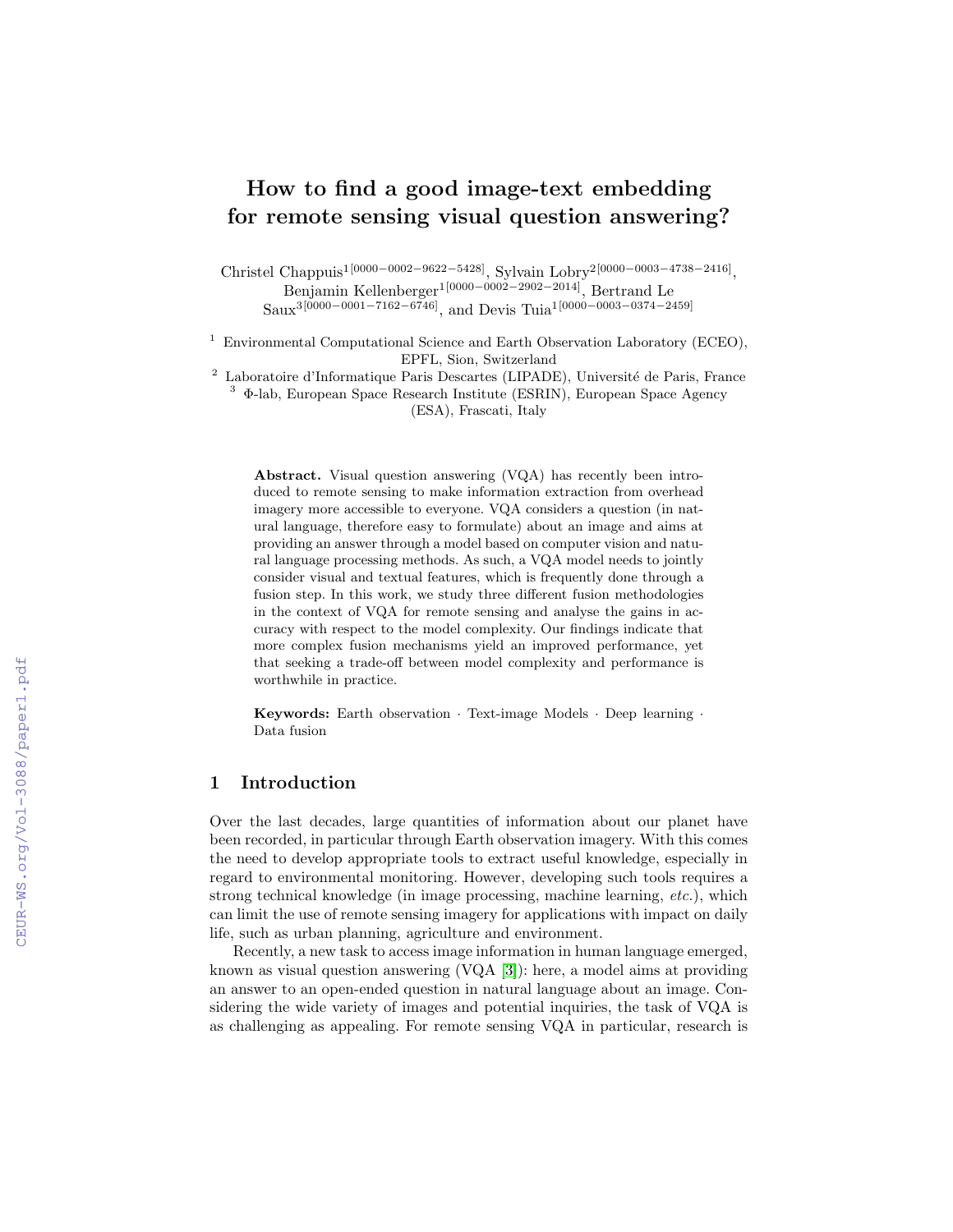# How to find a good image-text embedding for remote sensing visual question answering?

Christel Chappuis<sup>1[0000–0002–9622–5428]</sup>, Sylvain Lobry<sup>2</sup><sup>[0000–0003–4738–2416]</sup>, Benjamin Kellenberger1[0000−0002−2902−2014], Bertrand Le Saux<sup>3</sup>[0000–0001–7162–6746], and Devis Tuia<sup>1</sup>[0000–0003–0374–2459]

<sup>1</sup> Environmental Computational Science and Earth Observation Laboratory (ECEO), EPFL, Sion, Switzerland

 $^{\rm 2}$  Laboratoire d'Informatique Paris Descartes (LIPADE), Université de Paris, France <sup>3</sup> Φ-lab, European Space Research Institute (ESRIN), European Space Agency

(ESA), Frascati, Italy

Abstract. Visual question answering (VQA) has recently been introduced to remote sensing to make information extraction from overhead imagery more accessible to everyone. VQA considers a question (in natural language, therefore easy to formulate) about an image and aims at providing an answer through a model based on computer vision and natural language processing methods. As such, a VQA model needs to jointly consider visual and textual features, which is frequently done through a fusion step. In this work, we study three different fusion methodologies in the context of VQA for remote sensing and analyse the gains in accuracy with respect to the model complexity. Our findings indicate that more complex fusion mechanisms yield an improved performance, yet that seeking a trade-off between model complexity and performance is worthwhile in practice.

Keywords: Earth observation · Text-image Models · Deep learning · Data fusion

### 1 Introduction

Over the last decades, large quantities of information about our planet have been recorded, in particular through Earth observation imagery. With this comes the need to develop appropriate tools to extract useful knowledge, especially in regard to environmental monitoring. However, developing such tools requires a strong technical knowledge (in image processing, machine learning, etc.), which can limit the use of remote sensing imagery for applications with impact on daily life, such as urban planning, agriculture and environment.

Recently, a new task to access image information in human language emerged, known as visual question answering (VQA [\[3\]](#page--1-0)): here, a model aims at providing an answer to an open-ended question in natural language about an image. Considering the wide variety of images and potential inquiries, the task of VQA is as challenging as appealing. For remote sensing VQA in particular, research is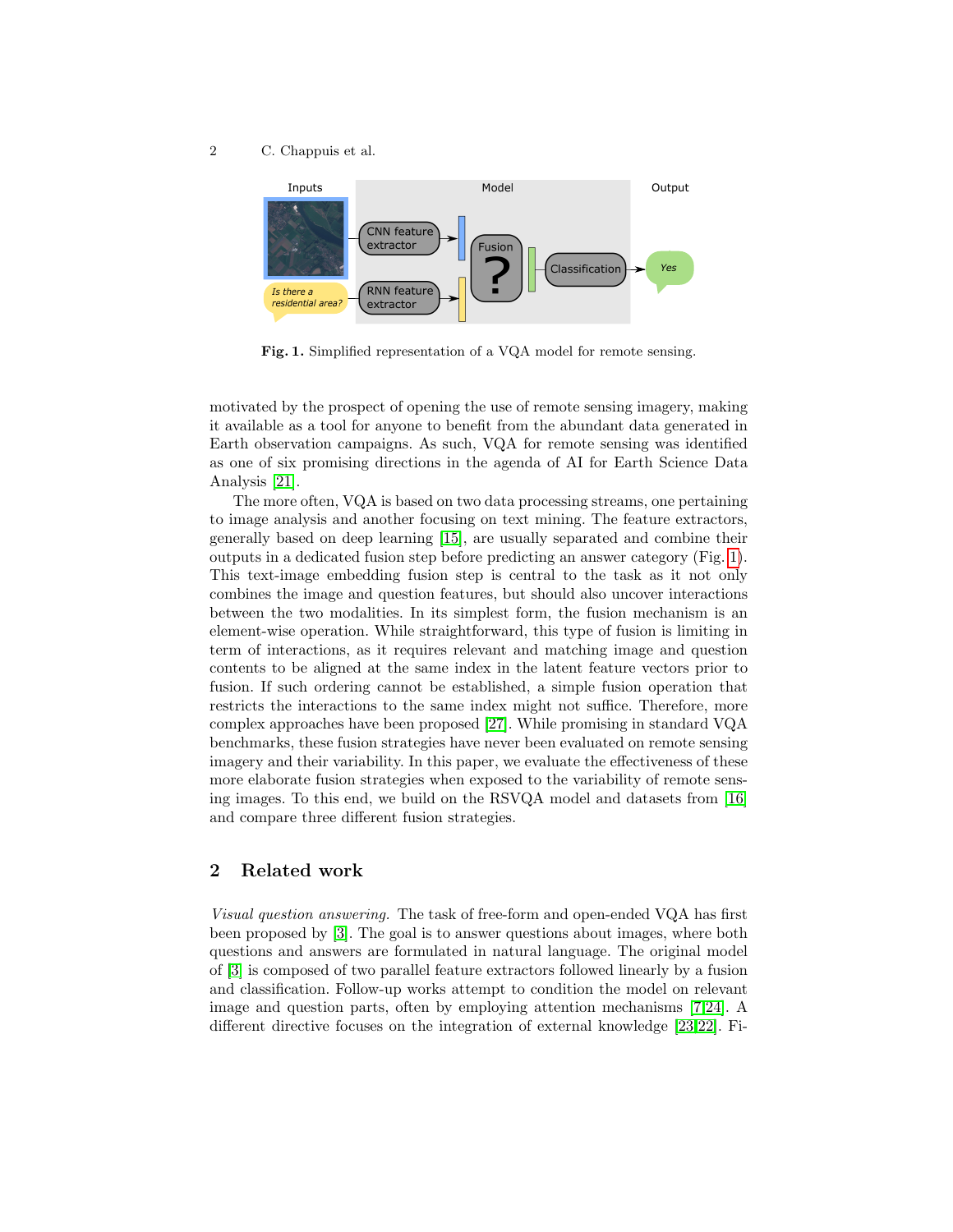2 C. Chappuis et al.



<span id="page-1-0"></span>Fig. 1. Simplified representation of a VQA model for remote sensing.

motivated by the prospect of opening the use of remote sensing imagery, making it available as a tool for anyone to benefit from the abundant data generated in Earth observation campaigns. As such, VQA for remote sensing was identified as one of six promising directions in the agenda of AI for Earth Science Data Analysis [\[21\]](#page-9-0).

The more often, VQA is based on two data processing streams, one pertaining to image analysis and another focusing on text mining. The feature extractors, generally based on deep learning [\[15\]](#page-9-1), are usually separated and combine their outputs in a dedicated fusion step before predicting an answer category (Fig. [1\)](#page-1-0). This text-image embedding fusion step is central to the task as it not only combines the image and question features, but should also uncover interactions between the two modalities. In its simplest form, the fusion mechanism is an element-wise operation. While straightforward, this type of fusion is limiting in term of interactions, as it requires relevant and matching image and question contents to be aligned at the same index in the latent feature vectors prior to fusion. If such ordering cannot be established, a simple fusion operation that restricts the interactions to the same index might not suffice. Therefore, more complex approaches have been proposed [\[27\]](#page-9-2). While promising in standard VQA benchmarks, these fusion strategies have never been evaluated on remote sensing imagery and their variability. In this paper, we evaluate the effectiveness of these more elaborate fusion strategies when exposed to the variability of remote sensing images. To this end, we build on the RSVQA model and datasets from [\[16\]](#page-9-3) and compare three different fusion strategies.

## 2 Related work

Visual question answering. The task of free-form and open-ended VQA has first been proposed by [\[3\]](#page-8-0). The goal is to answer questions about images, where both questions and answers are formulated in natural language. The original model of [\[3\]](#page-8-0) is composed of two parallel feature extractors followed linearly by a fusion and classification. Follow-up works attempt to condition the model on relevant image and question parts, often by employing attention mechanisms [\[7,](#page-8-1)[24\]](#page-9-4). A different directive focuses on the integration of external knowledge [\[23,](#page-9-5)[22\]](#page-9-6). Fi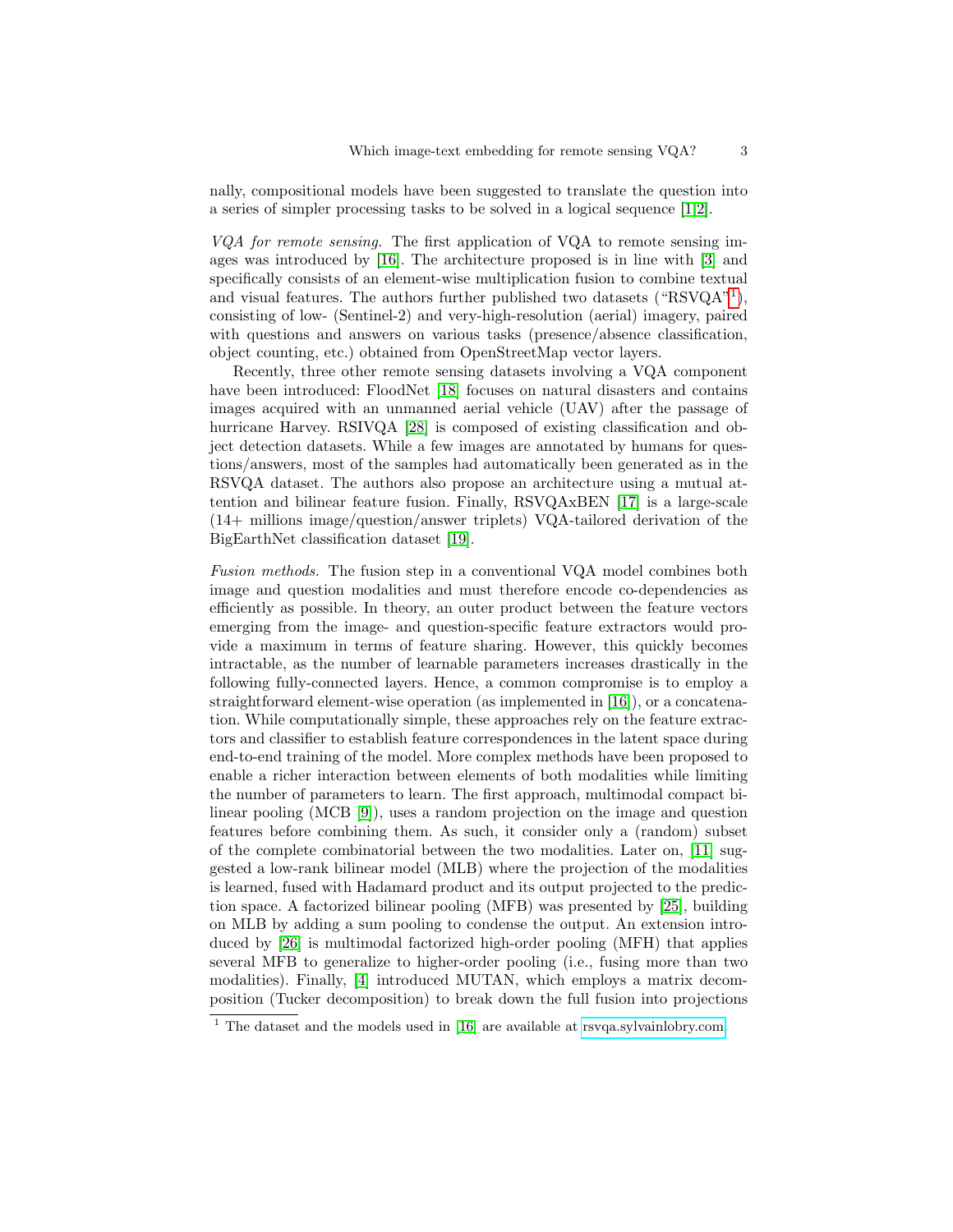nally, compositional models have been suggested to translate the question into a series of simpler processing tasks to be solved in a logical sequence [\[1,](#page-8-2)[2\]](#page-8-3).

VQA for remote sensing. The first application of VQA to remote sensing images was introduced by [\[16\]](#page-9-3). The architecture proposed is in line with [\[3\]](#page-8-0) and specifically consists of an element-wise multiplication fusion to combine textual and visual features. The authors further published two datasets (" $RSVQA"$ <sup>[1](#page-2-0)</sup>), consisting of low- (Sentinel-2) and very-high-resolution (aerial) imagery, paired with questions and answers on various tasks (presence/absence classification, object counting, etc.) obtained from OpenStreetMap vector layers.

Recently, three other remote sensing datasets involving a VQA component have been introduced: FloodNet [\[18\]](#page-9-7) focuses on natural disasters and contains images acquired with an unmanned aerial vehicle (UAV) after the passage of hurricane Harvey. RSIVQA [\[28\]](#page-9-8) is composed of existing classification and object detection datasets. While a few images are annotated by humans for questions/answers, most of the samples had automatically been generated as in the RSVQA dataset. The authors also propose an architecture using a mutual attention and bilinear feature fusion. Finally, RSVQAxBEN [\[17\]](#page-9-9) is a large-scale (14+ millions image/question/answer triplets) VQA-tailored derivation of the BigEarthNet classification dataset [\[19\]](#page-9-10).

Fusion methods. The fusion step in a conventional VQA model combines both image and question modalities and must therefore encode co-dependencies as efficiently as possible. In theory, an outer product between the feature vectors emerging from the image- and question-specific feature extractors would provide a maximum in terms of feature sharing. However, this quickly becomes intractable, as the number of learnable parameters increases drastically in the following fully-connected layers. Hence, a common compromise is to employ a straightforward element-wise operation (as implemented in [\[16\]](#page-9-3)), or a concatenation. While computationally simple, these approaches rely on the feature extractors and classifier to establish feature correspondences in the latent space during end-to-end training of the model. More complex methods have been proposed to enable a richer interaction between elements of both modalities while limiting the number of parameters to learn. The first approach, multimodal compact bilinear pooling (MCB [\[9\]](#page-9-11)), uses a random projection on the image and question features before combining them. As such, it consider only a (random) subset of the complete combinatorial between the two modalities. Later on, [\[11\]](#page-9-12) suggested a low-rank bilinear model (MLB) where the projection of the modalities is learned, fused with Hadamard product and its output projected to the prediction space. A factorized bilinear pooling (MFB) was presented by [\[25\]](#page-9-13), building on MLB by adding a sum pooling to condense the output. An extension introduced by [\[26\]](#page-9-14) is multimodal factorized high-order pooling (MFH) that applies several MFB to generalize to higher-order pooling (i.e., fusing more than two modalities). Finally, [\[4\]](#page-8-4) introduced MUTAN, which employs a matrix decomposition (Tucker decomposition) to break down the full fusion into projections

<span id="page-2-0"></span> $1$  The dataset and the models used in [\[16\]](#page-9-3) are available at [rsvqa.sylvainlobry.com.](https://rsvqa.sylvainlobry.com)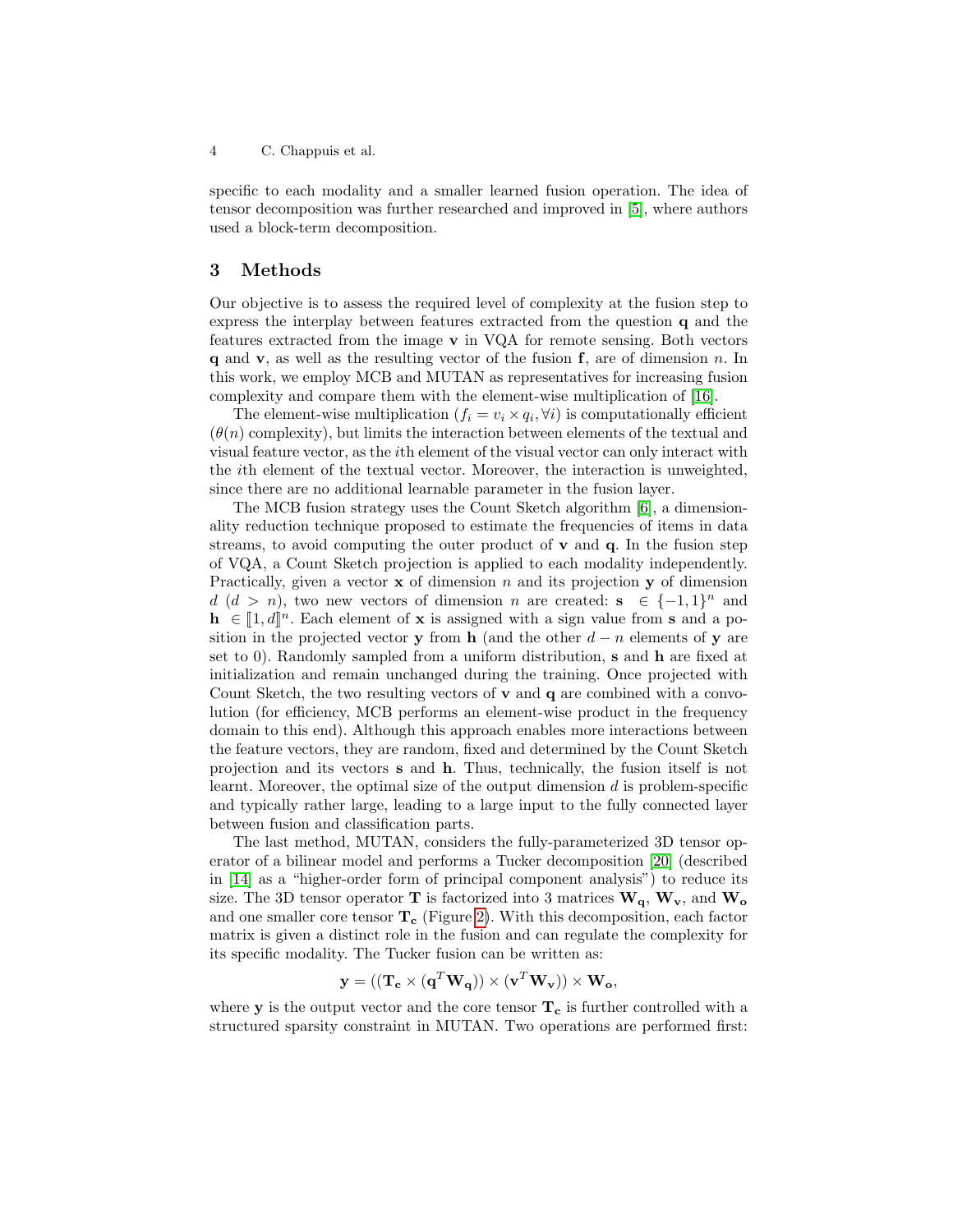specific to each modality and a smaller learned fusion operation. The idea of tensor decomposition was further researched and improved in [\[5\]](#page-8-5), where authors used a block-term decomposition.

#### 3 Methods

Our objective is to assess the required level of complexity at the fusion step to express the interplay between features extracted from the question q and the features extracted from the image  $\bf{v}$  in VQA for remote sensing. Both vectors  $q$  and  $v$ , as well as the resulting vector of the fusion  $f$ , are of dimension n. In this work, we employ MCB and MUTAN as representatives for increasing fusion complexity and compare them with the element-wise multiplication of [\[16\]](#page-9-3).

The element-wise multiplication  $(f_i = v_i \times q_i, \forall i)$  is computationally efficient  $(\theta(n)$  complexity), but limits the interaction between elements of the textual and visual feature vector, as the ith element of the visual vector can only interact with the ith element of the textual vector. Moreover, the interaction is unweighted, since there are no additional learnable parameter in the fusion layer.

The MCB fusion strategy uses the Count Sketch algorithm [\[6\]](#page-8-6), a dimensionality reduction technique proposed to estimate the frequencies of items in data streams, to avoid computing the outer product of  $\bf{v}$  and  $\bf{q}$ . In the fusion step of VQA, a Count Sketch projection is applied to each modality independently. Practically, given a vector  $x$  of dimension n and its projection  $y$  of dimension d  $(d > n)$ , two new vectors of dimension n are created:  $s \in \{-1,1\}^n$  and  $\mathbf{h} \in [\![1, d]\!]^n$ . Each element of **x** is assigned with a sign value from **s** and a po-<br>sition in the projected vector **y** from **b** (and the other d<sub>rap</sub> elements of **y** are sition in the projected vector y from h (and the other  $d - n$  elements of y are set to 0). Randomly sampled from a uniform distribution, s and h are fixed at initialization and remain unchanged during the training. Once projected with Count Sketch, the two resulting vectors of  $\bf{v}$  and  $\bf{q}$  are combined with a convolution (for efficiency, MCB performs an element-wise product in the frequency domain to this end). Although this approach enables more interactions between the feature vectors, they are random, fixed and determined by the Count Sketch projection and its vectors s and h. Thus, technically, the fusion itself is not learnt. Moreover, the optimal size of the output dimension  $d$  is problem-specific and typically rather large, leading to a large input to the fully connected layer between fusion and classification parts.

The last method, MUTAN, considers the fully-parameterized 3D tensor operator of a bilinear model and performs a Tucker decomposition [\[20\]](#page-9-15) (described in [\[14\]](#page-9-16) as a "higher-order form of principal component analysis") to reduce its size. The 3D tensor operator T is factorized into 3 matrices  $W_q$ ,  $W_v$ , and  $W_o$ and one smaller core tensor  $T_c$  (Figure [2\)](#page-4-0). With this decomposition, each factor matrix is given a distinct role in the fusion and can regulate the complexity for its specific modality. The Tucker fusion can be written as:

$$
\mathbf{y} = ((\mathbf{T_c} \times (\mathbf{q}^T \mathbf{W_q})) \times (\mathbf{v}^T \mathbf{W_v})) \times \mathbf{W_o},
$$

where  $y$  is the output vector and the core tensor  $T_c$  is further controlled with a structured sparsity constraint in MUTAN. Two operations are performed first: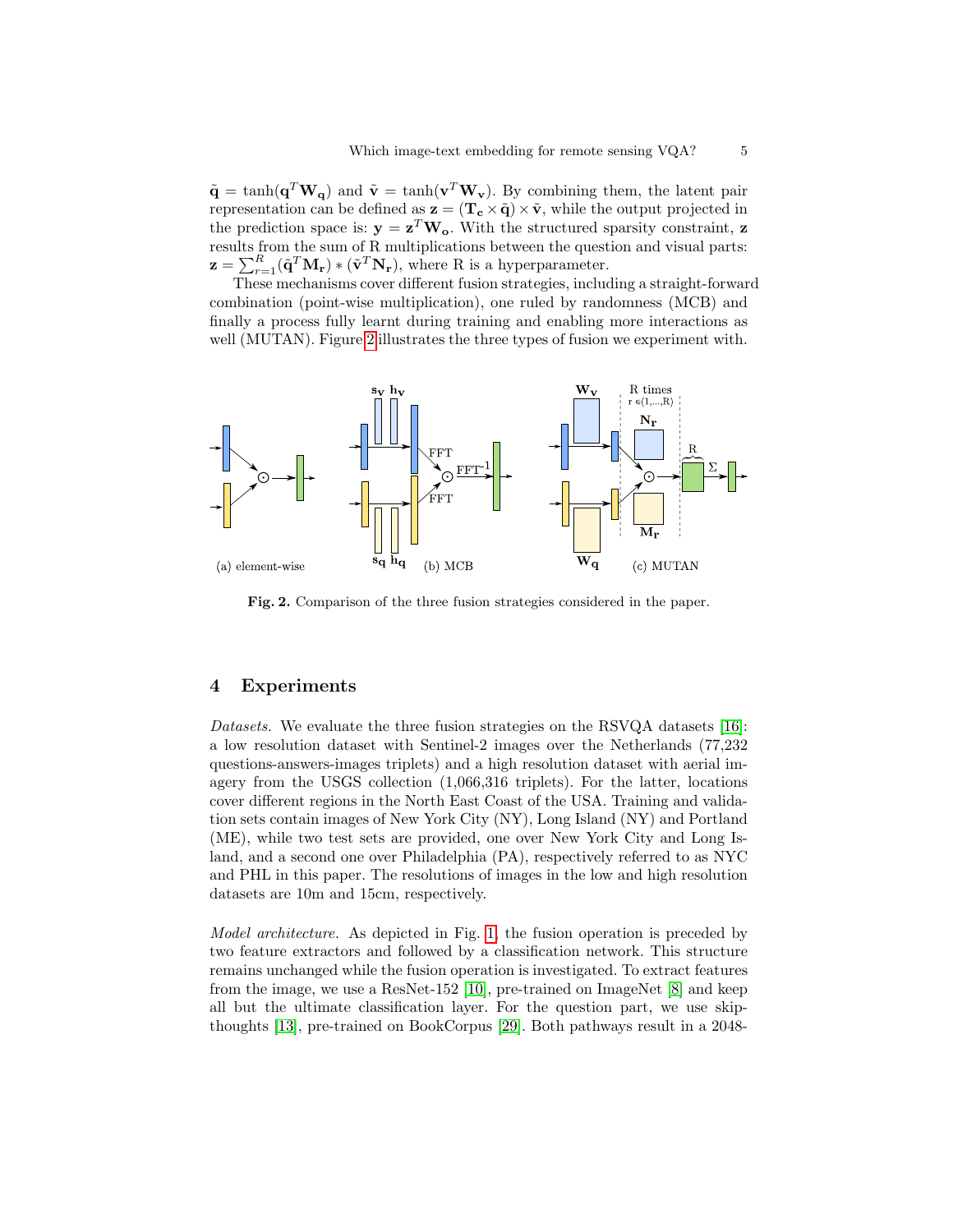$\tilde{\mathbf{q}} = \tanh(\mathbf{q}^T \mathbf{W}_{\mathbf{q}})$  and  $\tilde{\mathbf{v}} = \tanh(\mathbf{v}^T \mathbf{W}_{\mathbf{v}})$ . By combining them, the latent pair representation can be defined as  $z = (T_c \times \tilde{q}) \times \tilde{v}$ , while the output projected in the prediction space is:  $y = z^T W_o$ . With the structured sparsity constraint, z results from the sum of R multiplications between the question and visual parts:  $\mathbf{z} = \sum_{r=1}^{R} (\tilde{\mathbf{q}}^{T} \mathbf{M}_{r}) \ast (\tilde{\mathbf{v}}^{T} \mathbf{N}_{r}),$  where R is a hyperparameter.

These mechanisms cover different fusion strategies, including a straight-forward combination (point-wise multiplication), one ruled by randomness (MCB) and finally a process fully learnt during training and enabling more interactions as well (MUTAN). Figure [2](#page-4-0) illustrates the three types of fusion we experiment with.



<span id="page-4-0"></span>Fig. 2. Comparison of the three fusion strategies considered in the paper.

#### 4 Experiments

Datasets. We evaluate the three fusion strategies on the RSVQA datasets [\[16\]](#page-9-3): a low resolution dataset with Sentinel-2 images over the Netherlands (77,232 questions-answers-images triplets) and a high resolution dataset with aerial imagery from the USGS collection (1,066,316 triplets). For the latter, locations cover different regions in the North East Coast of the USA. Training and validation sets contain images of New York City (NY), Long Island (NY) and Portland (ME), while two test sets are provided, one over New York City and Long Island, and a second one over Philadelphia (PA), respectively referred to as NYC and PHL in this paper. The resolutions of images in the low and high resolution datasets are 10m and 15cm, respectively.

Model architecture. As depicted in Fig. [1,](#page-1-0) the fusion operation is preceded by two feature extractors and followed by a classification network. This structure remains unchanged while the fusion operation is investigated. To extract features from the image, we use a ResNet-152 [\[10\]](#page-9-17), pre-trained on ImageNet [\[8\]](#page-9-18) and keep all but the ultimate classification layer. For the question part, we use skipthoughts [\[13\]](#page-9-19), pre-trained on BookCorpus [\[29\]](#page-9-20). Both pathways result in a 2048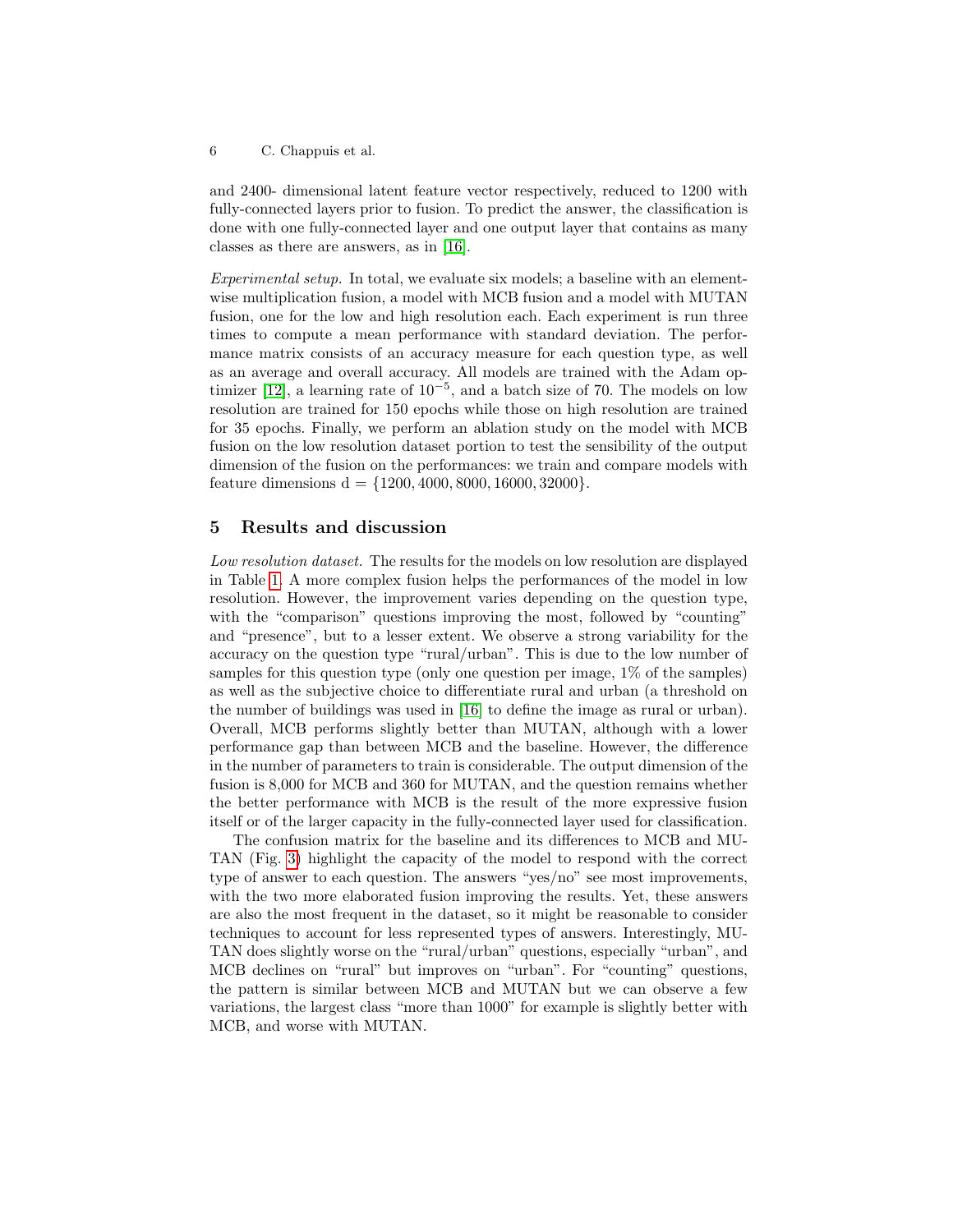6 C. Chappuis et al.

and 2400- dimensional latent feature vector respectively, reduced to 1200 with fully-connected layers prior to fusion. To predict the answer, the classification is done with one fully-connected layer and one output layer that contains as many classes as there are answers, as in [\[16\]](#page-9-3).

Experimental setup. In total, we evaluate six models; a baseline with an elementwise multiplication fusion, a model with MCB fusion and a model with MUTAN fusion, one for the low and high resolution each. Each experiment is run three times to compute a mean performance with standard deviation. The performance matrix consists of an accuracy measure for each question type, as well as an average and overall accuracy. All models are trained with the Adam op-timizer [\[12\]](#page-9-21), a learning rate of  $10^{-5}$ , and a batch size of 70. The models on low resolution are trained for 150 epochs while those on high resolution are trained for 35 epochs. Finally, we perform an ablation study on the model with MCB fusion on the low resolution dataset portion to test the sensibility of the output dimension of the fusion on the performances: we train and compare models with feature dimensions  $d = \{1200, 4000, 8000, 16000, 32000\}.$ 

#### 5 Results and discussion

Low resolution dataset. The results for the models on low resolution are displayed in Table [1.](#page-6-0) A more complex fusion helps the performances of the model in low resolution. However, the improvement varies depending on the question type, with the "comparison" questions improving the most, followed by "counting" and "presence", but to a lesser extent. We observe a strong variability for the accuracy on the question type "rural/urban". This is due to the low number of samples for this question type (only one question per image, 1% of the samples) as well as the subjective choice to differentiate rural and urban (a threshold on the number of buildings was used in [\[16\]](#page-9-3) to define the image as rural or urban). Overall, MCB performs slightly better than MUTAN, although with a lower performance gap than between MCB and the baseline. However, the difference in the number of parameters to train is considerable. The output dimension of the fusion is 8,000 for MCB and 360 for MUTAN, and the question remains whether the better performance with MCB is the result of the more expressive fusion itself or of the larger capacity in the fully-connected layer used for classification.

The confusion matrix for the baseline and its differences to MCB and MU-TAN (Fig. [3\)](#page-6-1) highlight the capacity of the model to respond with the correct type of answer to each question. The answers "yes/no" see most improvements, with the two more elaborated fusion improving the results. Yet, these answers are also the most frequent in the dataset, so it might be reasonable to consider techniques to account for less represented types of answers. Interestingly, MU-TAN does slightly worse on the "rural/urban" questions, especially "urban", and MCB declines on "rural" but improves on "urban". For "counting" questions, the pattern is similar between MCB and MUTAN but we can observe a few variations, the largest class "more than 1000" for example is slightly better with MCB, and worse with MUTAN.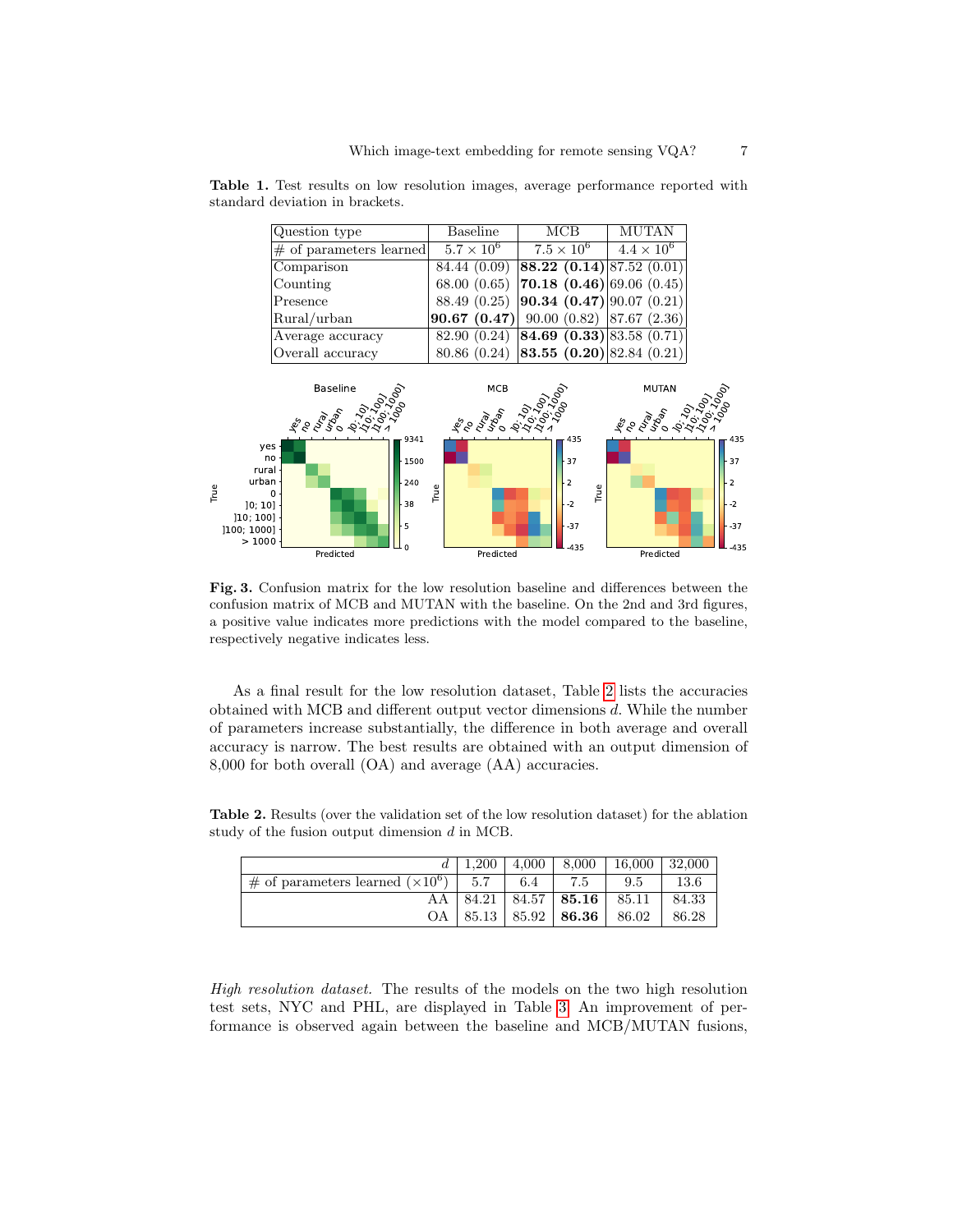|                     | Question type                                                                                                                             | <b>Baseline</b>   | MCB                                                              | MUTAN                  |                                                           |
|---------------------|-------------------------------------------------------------------------------------------------------------------------------------------|-------------------|------------------------------------------------------------------|------------------------|-----------------------------------------------------------|
|                     | $\#$ of parameters learned                                                                                                                | $5.7 \times 10^6$ | $7.5 \times 10^6$                                                | $4.4 \times 10^{6}$    |                                                           |
|                     | Comparison                                                                                                                                | 84.44 (0.09)      | <b>88.22</b> (0.14) 87.52 (0.01)                                 |                        |                                                           |
|                     | Counting                                                                                                                                  | 68.00(0.65)       | <b>70.18 (0.46)</b> 69.06 (0.45)                                 |                        |                                                           |
|                     | Presence                                                                                                                                  | 88.49 (0.25)      | $\left 90.34\right\rangle (0.47)\left 90.07\right\rangle (0.21)$ |                        |                                                           |
|                     | Rural/urban                                                                                                                               | 90.67(0.47)       | $90.00(0.82)$ 87.67 (2.36)                                       |                        |                                                           |
|                     | Average accuracy                                                                                                                          | 82.90 (0.24)      | <b>84.69 (0.33)</b> 83.58 (0.71)                                 |                        |                                                           |
|                     | Overall accuracy                                                                                                                          | 80.86 (0.24)      | <b>83.55 (0.20)</b> 82.84 (0.21)                                 |                        |                                                           |
|                     | <b>Baseline</b><br>400 1996                                                                                                               | MCB<br>4005000    |                                                                  | <b>MUTAN</b><br>400500 |                                                           |
| True<br>[100; 1000] | $-9341$<br>yes<br>no<br>$-1500$<br>rural<br>urban ·<br>240<br>$\Omega$<br>38<br>]0;10]<br>]10;100]<br>5<br>>1000<br>$\Omega$<br>Predicted | True<br>Predicted | 435<br>37<br>$\overline{2}$<br>True<br>$-2$<br>$-37$<br>$-435$   | Predicted              | 435<br>$-37$<br>$\overline{2}$<br>$-2$<br>$-37$<br>$-435$ |

<span id="page-6-0"></span>Table 1. Test results on low resolution images, average performance reported with standard deviation in brackets.

<span id="page-6-1"></span>Fig. 3. Confusion matrix for the low resolution baseline and differences between the confusion matrix of MCB and MUTAN with the baseline. On the 2nd and 3rd figures, a positive value indicates more predictions with the model compared to the baseline, respectively negative indicates less.

As a final result for the low resolution dataset, Table [2](#page-6-2) lists the accuracies obtained with MCB and different output vector dimensions d. While the number of parameters increase substantially, the difference in both average and overall accuracy is narrow. The best results are obtained with an output dimension of 8,000 for both overall (OA) and average (AA) accuracies.

<span id="page-6-2"></span>

|                                               |     | $1.200 \pm 4.000 \pm 8.000$              | $16,000$   32,000 |       |
|-----------------------------------------------|-----|------------------------------------------|-------------------|-------|
| # of parameters learned $(\times 10^6)$   5.7 | 6.4 | 7.5                                      | 9.5               | 13.6  |
|                                               |     | $84.21$   $84.57$   <b>85.16</b>   85.11 |                   | 84.33 |
|                                               |     | OA   $85.13$   $85.92$   <b>86.36</b>    | 86.02             | 86.28 |

Table 2. Results (over the validation set of the low resolution dataset) for the ablation study of the fusion output dimension d in MCB.

High resolution dataset. The results of the models on the two high resolution test sets, NYC and PHL, are displayed in Table [3.](#page-7-0) An improvement of performance is observed again between the baseline and MCB/MUTAN fusions,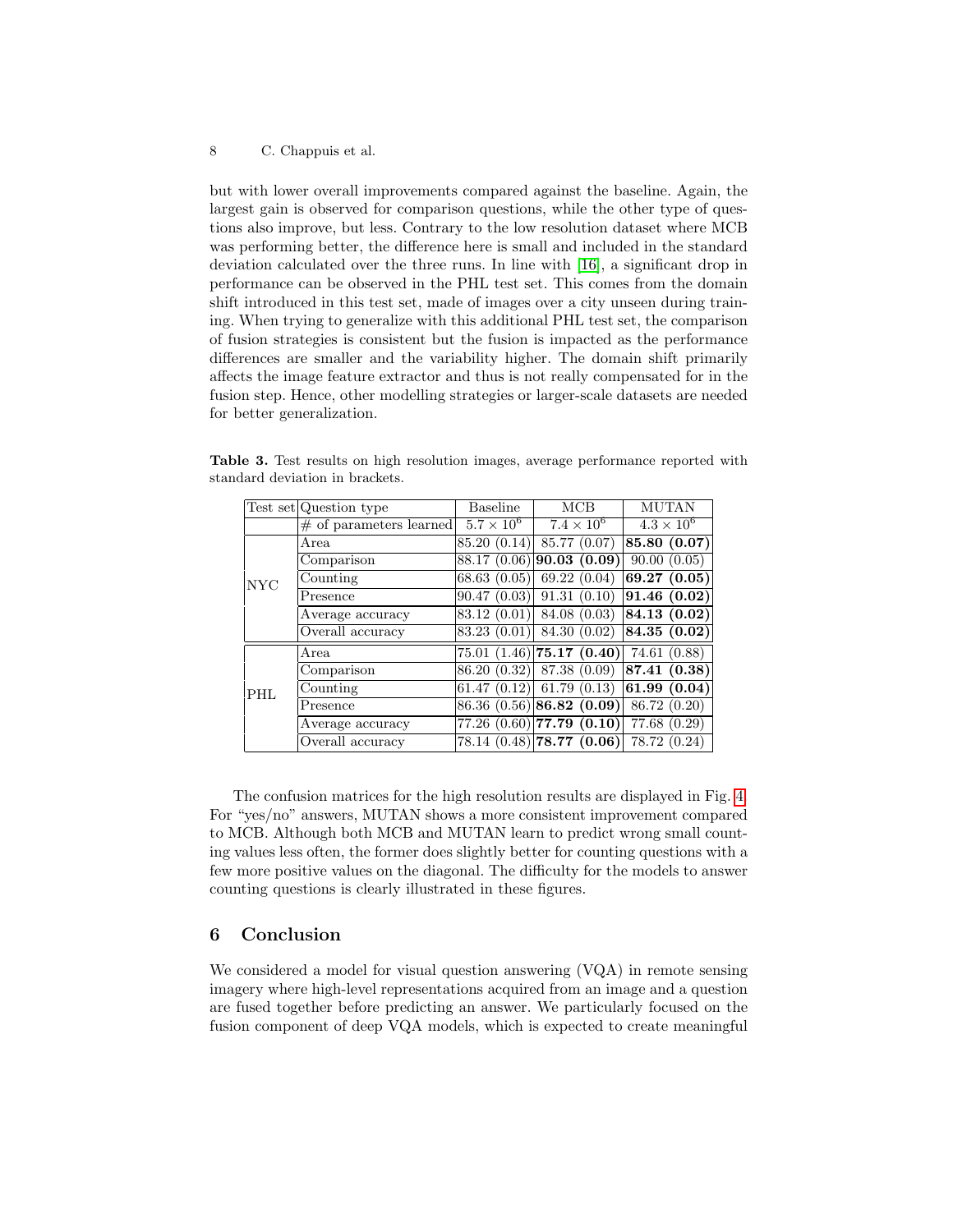#### 8 C. Chappuis et al.

but with lower overall improvements compared against the baseline. Again, the largest gain is observed for comparison questions, while the other type of questions also improve, but less. Contrary to the low resolution dataset where MCB was performing better, the difference here is small and included in the standard deviation calculated over the three runs. In line with [\[16\]](#page-9-3), a significant drop in performance can be observed in the PHL test set. This comes from the domain shift introduced in this test set, made of images over a city unseen during training. When trying to generalize with this additional PHL test set, the comparison of fusion strategies is consistent but the fusion is impacted as the performance differences are smaller and the variability higher. The domain shift primarily affects the image feature extractor and thus is not really compensated for in the fusion step. Hence, other modelling strategies or larger-scale datasets are needed for better generalization.

<span id="page-7-0"></span>

|            | Test set Question type     | <b>Baseline</b>     | MCB                           | <b>MUTAN</b>        |
|------------|----------------------------|---------------------|-------------------------------|---------------------|
|            | $\#$ of parameters learned | $5.7 \times 10^{6}$ | $7.4 \times 10^6$             | $4.3 \times 10^{6}$ |
|            | Area                       | 85.20 (0.14)        | 85.77 (0.07)                  | 85.80(0.07)         |
|            | Comparison                 | 88.17 (0.06)        | 90.03(0.09)                   | 90.00(0.05)         |
| NYC        | Counting                   | 68.63(0.05)         | 69.22(0.04)                   | 69.27(0.05)         |
|            | Presence                   | 90.47(0.03)         | 91.31(0.10)                   | 91.46(0.02)         |
|            | Average accuracy           | 83.12 (0.01)        | 84.08 (0.03)                  | 84.13 (0.02)        |
|            | Overall accuracy           | 83.23 (0.01)        | 84.30 (0.02)                  | 84.35 (0.02)        |
|            | Area                       |                     | $75.01(1.46)$ 75.17 $(0.40)$  | 74.61 (0.88)        |
|            | Comparison                 | 86.20 (0.32)        | 87.38 (0.09)                  | 87.41(0.38)         |
| <b>PHL</b> | Counting                   | 61.47(0.12)         | 61.79(0.13)                   | 61.99(0.04)         |
|            | Presence                   |                     | $86.36(0.56)$ 86.82 (0.09)    | 86.72 (0.20)        |
|            | Average accuracy           |                     | $77.26 (0.60)$ 77.79 $(0.10)$ | 77.68 (0.29)        |
|            | Overall accuracy           |                     | $78.14 (0.48)$ 78.77 $(0.06)$ | 78.72 (0.24)        |

Table 3. Test results on high resolution images, average performance reported with standard deviation in brackets.

The confusion matrices for the high resolution results are displayed in Fig. [4.](#page-8-7) For "yes/no" answers, MUTAN shows a more consistent improvement compared to MCB. Although both MCB and MUTAN learn to predict wrong small counting values less often, the former does slightly better for counting questions with a few more positive values on the diagonal. The difficulty for the models to answer counting questions is clearly illustrated in these figures.

#### 6 Conclusion

We considered a model for visual question answering (VQA) in remote sensing imagery where high-level representations acquired from an image and a question are fused together before predicting an answer. We particularly focused on the fusion component of deep VQA models, which is expected to create meaningful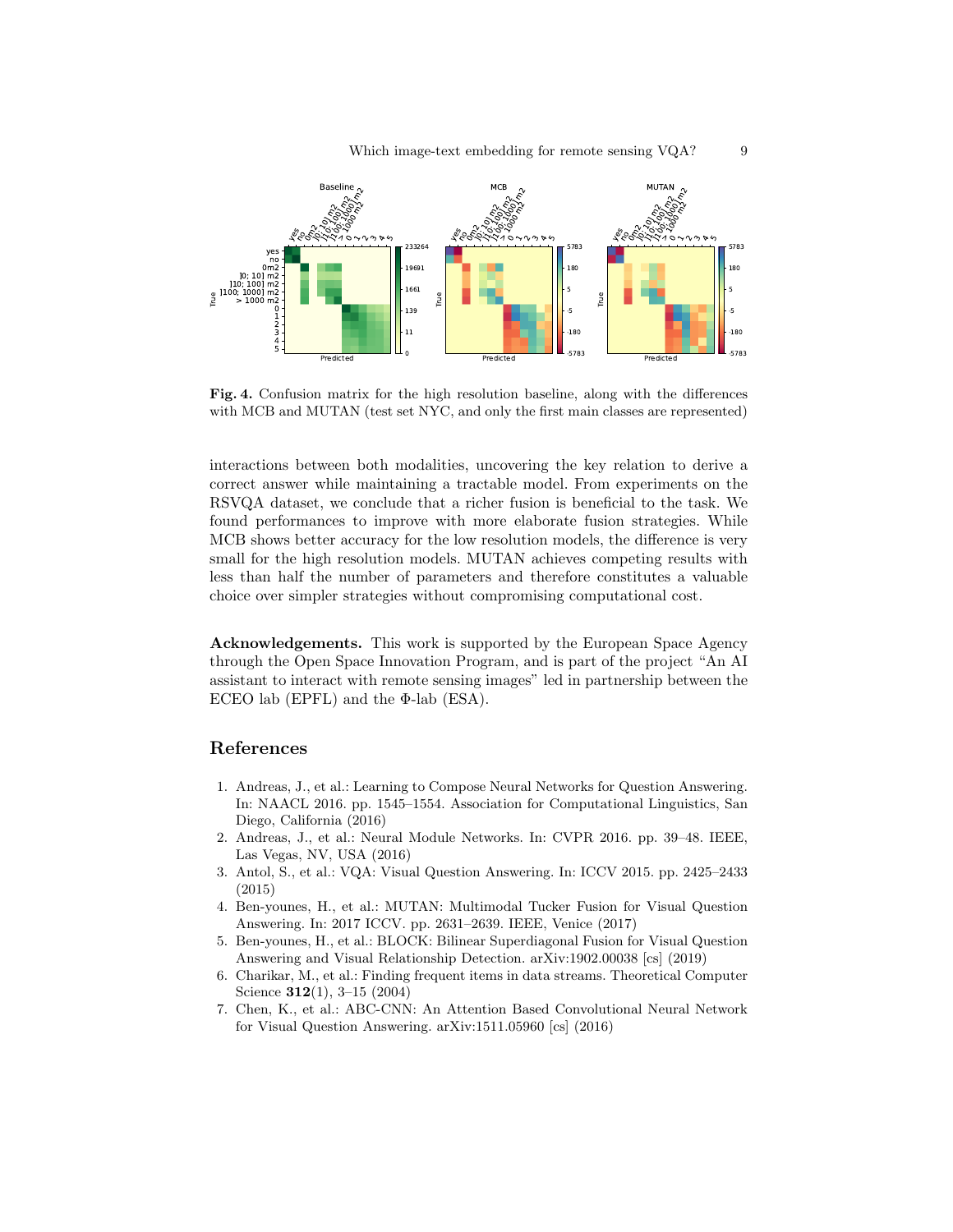

<span id="page-8-7"></span>Fig. 4. Confusion matrix for the high resolution baseline, along with the differences with MCB and MUTAN (test set NYC, and only the first main classes are represented)

interactions between both modalities, uncovering the key relation to derive a correct answer while maintaining a tractable model. From experiments on the RSVQA dataset, we conclude that a richer fusion is beneficial to the task. We found performances to improve with more elaborate fusion strategies. While MCB shows better accuracy for the low resolution models, the difference is very small for the high resolution models. MUTAN achieves competing results with less than half the number of parameters and therefore constitutes a valuable choice over simpler strategies without compromising computational cost.

Acknowledgements. This work is supported by the European Space Agency through the Open Space Innovation Program, and is part of the project "An AI assistant to interact with remote sensing images" led in partnership between the ECEO lab (EPFL) and the  $\Phi$ -lab (ESA).

#### References

- <span id="page-8-2"></span>1. Andreas, J., et al.: Learning to Compose Neural Networks for Question Answering. In: NAACL 2016. pp. 1545–1554. Association for Computational Linguistics, San Diego, California (2016)
- <span id="page-8-3"></span>2. Andreas, J., et al.: Neural Module Networks. In: CVPR 2016. pp. 39–48. IEEE, Las Vegas, NV, USA (2016)
- <span id="page-8-0"></span>3. Antol, S., et al.: VQA: Visual Question Answering. In: ICCV 2015. pp. 2425–2433 (2015)
- <span id="page-8-4"></span>4. Ben-younes, H., et al.: MUTAN: Multimodal Tucker Fusion for Visual Question Answering. In: 2017 ICCV. pp. 2631–2639. IEEE, Venice (2017)
- <span id="page-8-5"></span>5. Ben-younes, H., et al.: BLOCK: Bilinear Superdiagonal Fusion for Visual Question Answering and Visual Relationship Detection. arXiv:1902.00038 [cs] (2019)
- <span id="page-8-6"></span>6. Charikar, M., et al.: Finding frequent items in data streams. Theoretical Computer Science 312(1), 3–15 (2004)
- <span id="page-8-1"></span>7. Chen, K., et al.: ABC-CNN: An Attention Based Convolutional Neural Network for Visual Question Answering. arXiv:1511.05960 [cs] (2016)